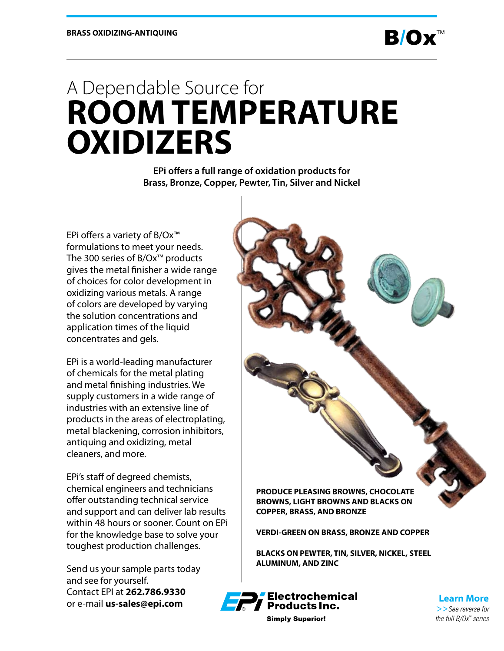

# A Dependable Source for **ROOM TEMPERATURE OXIDIZERS**

**EPi offers a full range of oxidation products for Brass, Bronze, Copper, Pewter, Tin, Silver and Nickel** 

EPi offers a variety of B/Ox™ formulations to meet your needs. The 300 series of B/Ox™ products gives the metal finisher a wide range of choices for color development in oxidizing various metals. A range of colors are developed by varying the solution concentrations and application times of the liquid concentrates and gels.

EPi is a world-leading manufacturer of chemicals for the metal plating and metal finishing industries. We supply customers in a wide range of industries with an extensive line of products in the areas of electroplating, metal blackening, corrosion inhibitors, antiquing and oxidizing, metal cleaners, and more.

EPi's staff of degreed chemists, chemical engineers and technicians offer outstanding technical service and support and can deliver lab results within 48 hours or sooner. Count on EPi for the knowledge base to solve your toughest production challenges.

Send us your sample parts today and see for yourself. Contact EPI at **262.786.9330** or e-mail **us-sales@epi.com**



**BLACKS ON PEWTER, TIN, SILVER, NICKEL, STEEL ALUMINUM, AND ZINC**



**Learn More** >>*See reverse for the full B/Ox™ series*